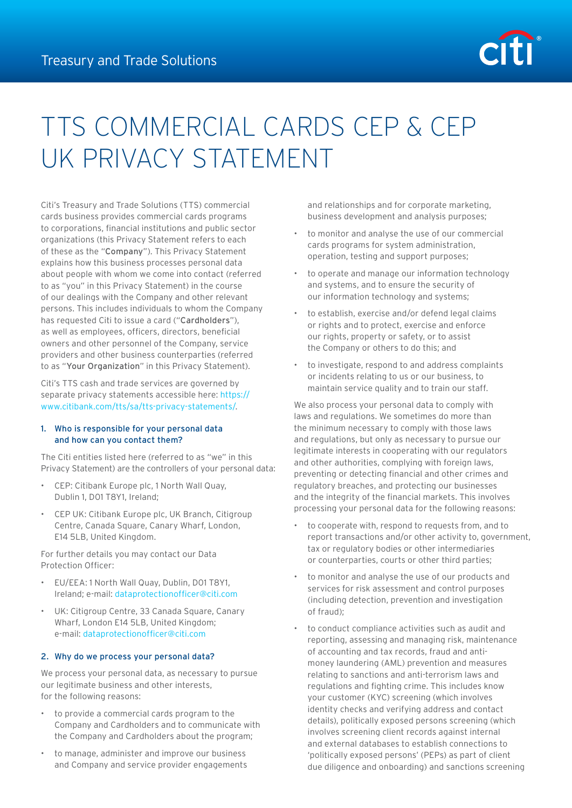

# TTS COMMERCIAL CARDS CEP & CEP UK PRIVACY STATEMENT

Citi's Treasury and Trade Solutions (TTS) commercial cards business provides commercial cards programs to corporations, financial institutions and public sector organizations (this Privacy Statement refers to each of these as the "Company"). This Privacy Statement explains how this business processes personal data about people with whom we come into contact (referred to as "you" in this Privacy Statement) in the course of our dealings with the Company and other relevant persons. This includes individuals to whom the Company has requested Citi to issue a card ("Cardholders"), as well as employees, officers, directors, beneficial owners and other personnel of the Company, service providers and other business counterparties (referred to as "Your Organization" in this Privacy Statement).

Citi's TTS cash and trade services are governed by separate privacy statements accessible here: [https://](https://www.citibank.com/tts/sa/tts-privacy-statements/) [www.citibank.com/tts/sa/tts-privacy-statements/](https://www.citibank.com/tts/sa/tts-privacy-statements/).

# 1. Who is responsible for your personal data and how can you contact them?

The Citi entities listed here (referred to as "we" in this Privacy Statement) are the controllers of your personal data:

- CEP: Citibank Europe plc, 1 North Wall Quay, Dublin 1, D01 T8Y1, Ireland;
- CEP UK: Citibank Europe plc, UK Branch, Citigroup Centre, Canada Square, Canary Wharf, London, E14 5LB, United Kingdom.

For further details you may contact our Data Protection Officer:

- EU/EEA: 1 North Wall Quay, Dublin, D01 T8Y1, Ireland; e-mail: [dataprotectionofficer@citi.com](mailto:dataprotectionofficer%40citi.com?subject=)
- UK: Citigroup Centre, 33 Canada Square, Canary Wharf, London E14 5LB, United Kingdom; e-mail: [dataprotectionofficer@citi.com](mailto:dataprotectionofficer%40citi.com?subject=)

## 2. Why do we process your personal data?

We process your personal data, as necessary to pursue our legitimate business and other interests, for the following reasons:

- to provide a commercial cards program to the Company and Cardholders and to communicate with the Company and Cardholders about the program;
- to manage, administer and improve our business and Company and service provider engagements

and relationships and for corporate marketing, business development and analysis purposes;

- to monitor and analyse the use of our commercial cards programs for system administration, operation, testing and support purposes;
- to operate and manage our information technology and systems, and to ensure the security of our information technology and systems;
- to establish, exercise and/or defend legal claims or rights and to protect, exercise and enforce our rights, property or safety, or to assist the Company or others to do this; and
- to investigate, respond to and address complaints or incidents relating to us or our business, to maintain service quality and to train our staff.

We also process your personal data to comply with laws and regulations. We sometimes do more than the minimum necessary to comply with those laws and regulations, but only as necessary to pursue our legitimate interests in cooperating with our regulators and other authorities, complying with foreign laws, preventing or detecting financial and other crimes and regulatory breaches, and protecting our businesses and the integrity of the financial markets. This involves processing your personal data for the following reasons:

- to cooperate with, respond to requests from, and to report transactions and/or other activity to, government, tax or regulatory bodies or other intermediaries or counterparties, courts or other third parties;
- to monitor and analyse the use of our products and services for risk assessment and control purposes (including detection, prevention and investigation of fraud);
- to conduct compliance activities such as audit and reporting, assessing and managing risk, maintenance of accounting and tax records, fraud and antimoney laundering (AML) prevention and measures relating to sanctions and anti-terrorism laws and regulations and fighting crime. This includes know your customer (KYC) screening (which involves identity checks and verifying address and contact details), politically exposed persons screening (which involves screening client records against internal and external databases to establish connections to 'politically exposed persons' (PEPs) as part of client due diligence and onboarding) and sanctions screening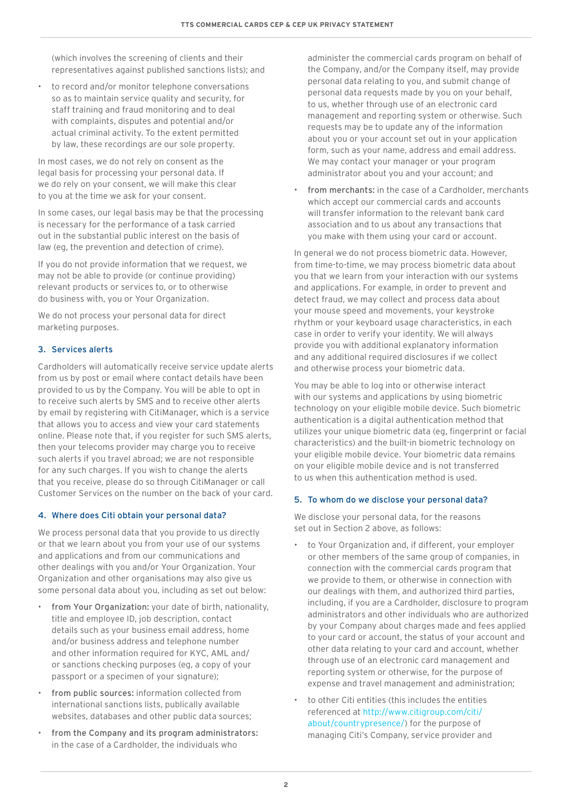(which involves the screening of clients and their representatives against published sanctions lists); and

• to record and/or monitor telephone conversations so as to maintain service quality and security, for staff training and fraud monitoring and to deal with complaints, disputes and potential and/or actual criminal activity. To the extent permitted by law, these recordings are our sole property.

In most cases, we do not rely on consent as the legal basis for processing your personal data. If we do rely on your consent, we will make this clear to you at the time we ask for your consent.

In some cases, our legal basis may be that the processing is necessary for the performance of a task carried out in the substantial public interest on the basis of law (eg, the prevention and detection of crime).

If you do not provide information that we request, we may not be able to provide (or continue providing) relevant products or services to, or to otherwise do business with, you or Your Organization.

We do not process your personal data for direct marketing purposes.

## 3. Services alerts

Cardholders will automatically receive service update alerts from us by post or email where contact details have been provided to us by the Company. You will be able to opt in to receive such alerts by SMS and to receive other alerts by email by registering with CitiManager, which is a service that allows you to access and view your card statements online. Please note that, if you register for such SMS alerts, then your telecoms provider may charge you to receive such alerts if you travel abroad; we are not responsible for any such charges. If you wish to change the alerts that you receive, please do so through CitiManager or call Customer Services on the number on the back of your card.

## 4. Where does Citi obtain your personal data?

We process personal data that you provide to us directly or that we learn about you from your use of our systems and applications and from our communications and other dealings with you and/or Your Organization. Your Organization and other organisations may also give us some personal data about you, including as set out below:

- from Your Organization: your date of birth, nationality, title and employee ID, job description, contact details such as your business email address, home and/or business address and telephone number and other information required for KYC, AML and/ or sanctions checking purposes (eg, a copy of your passport or a specimen of your signature);
- from public sources: information collected from international sanctions lists, publically available websites, databases and other public data sources;
- from the Company and its program administrators: in the case of a Cardholder, the individuals who

administer the commercial cards program on behalf of the Company, and/or the Company itself, may provide personal data relating to you, and submit change of personal data requests made by you on your behalf, to us, whether through use of an electronic card management and reporting system or otherwise. Such requests may be to update any of the information about you or your account set out in your application form, such as your name, address and email address. We may contact your manager or your program administrator about you and your account; and

from merchants: in the case of a Cardholder, merchants which accept our commercial cards and accounts will transfer information to the relevant bank card association and to us about any transactions that you make with them using your card or account.

In general we do not process biometric data. However, from time-to-time, we may process biometric data about you that we learn from your interaction with our systems and applications. For example, in order to prevent and detect fraud, we may collect and process data about your mouse speed and movements, your keystroke rhythm or your keyboard usage characteristics, in each case in order to verify your identity. We will always provide you with additional explanatory information and any additional required disclosures if we collect and otherwise process your biometric data.

You may be able to log into or otherwise interact with our systems and applications by using biometric technology on your eligible mobile device. Such biometric authentication is a digital authentication method that utilizes your unique biometric data (eg, fingerprint or facial characteristics) and the built-in biometric technology on your eligible mobile device. Your biometric data remains on your eligible mobile device and is not transferred to us when this authentication method is used.

## 5. To whom do we disclose your personal data?

We disclose your personal data, for the reasons set out in Section 2 above, as follows:

- to Your Organization and, if different, your employer or other members of the same group of companies, in connection with the commercial cards program that we provide to them, or otherwise in connection with our dealings with them, and authorized third parties, including, if you are a Cardholder, disclosure to program administrators and other individuals who are authorized by your Company about charges made and fees applied to your card or account, the status of your account and other data relating to your card and account, whether through use of an electronic card management and reporting system or otherwise, for the purpose of expense and travel management and administration;
- to other Citi entities (this includes the entities referenced at [http://www.citigroup.com/citi/](http://www.citigroup.com/citi/about/countrypresence/) [about/countrypresence/](http://www.citigroup.com/citi/about/countrypresence/)) for the purpose of managing Citi's Company, service provider and